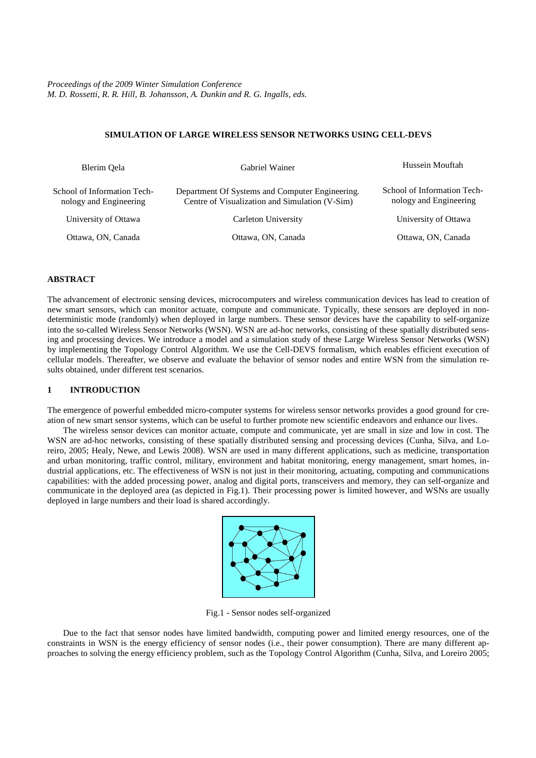# **SIMULATION OF LARGE WIRELESS SENSOR NETWORKS USING CELL-DEVS**

| Blerim Qela                                           | Gabriel Wainer                                                                                    | Hussein Mouftah                                       |
|-------------------------------------------------------|---------------------------------------------------------------------------------------------------|-------------------------------------------------------|
| School of Information Tech-<br>nology and Engineering | Department Of Systems and Computer Engineering.<br>Centre of Visualization and Simulation (V-Sim) | School of Information Tech-<br>nology and Engineering |
| University of Ottawa                                  | Carleton University                                                                               | University of Ottawa                                  |
| Ottawa, ON, Canada                                    | Ottawa, ON, Canada                                                                                | Ottawa, ON, Canada                                    |

## **ABSTRACT**

The advancement of electronic sensing devices, microcomputers and wireless communication devices has lead to creation of new smart sensors, which can monitor actuate, compute and communicate. Typically, these sensors are deployed in nondeterministic mode (randomly) when deployed in large numbers. These sensor devices have the capability to self-organize into the so-called Wireless Sensor Networks (WSN). WSN are ad-hoc networks, consisting of these spatially distributed sensing and processing devices. We introduce a model and a simulation study of these Large Wireless Sensor Networks (WSN) by implementing the Topology Control Algorithm. We use the Cell-DEVS formalism, which enables efficient execution of cellular models. Thereafter, we observe and evaluate the behavior of sensor nodes and entire WSN from the simulation results obtained, under different test scenarios.

### **1 INTRODUCTION**

The emergence of powerful embedded micro-computer systems for wireless sensor networks provides a good ground for creation of new smart sensor systems, which can be useful to further promote new scientific endeavors and enhance our lives.

 The wireless sensor devices can monitor actuate, compute and communicate, yet are small in size and low in cost. The WSN are ad-hoc networks, consisting of these spatially distributed sensing and processing devices (Cunha, Silva, and Loreiro, 2005; Healy, Newe, and Lewis 2008). WSN are used in many different applications, such as medicine, transportation and urban monitoring, traffic control, military, environment and habitat monitoring, energy management, smart homes, industrial applications, etc. The effectiveness of WSN is not just in their monitoring, actuating, computing and communications capabilities: with the added processing power, analog and digital ports, transceivers and memory, they can self-organize and communicate in the deployed area (as depicted in Fig.1). Their processing power is limited however, and WSNs are usually deployed in large numbers and their load is shared accordingly.



Fig.1 - Sensor nodes self-organized

 Due to the fact that sensor nodes have limited bandwidth, computing power and limited energy resources, one of the constraints in WSN is the energy efficiency of sensor nodes (i.e., their power consumption). There are many different approaches to solving the energy efficiency problem, such as the Topology Control Algorithm (Cunha, Silva, and Loreiro 2005;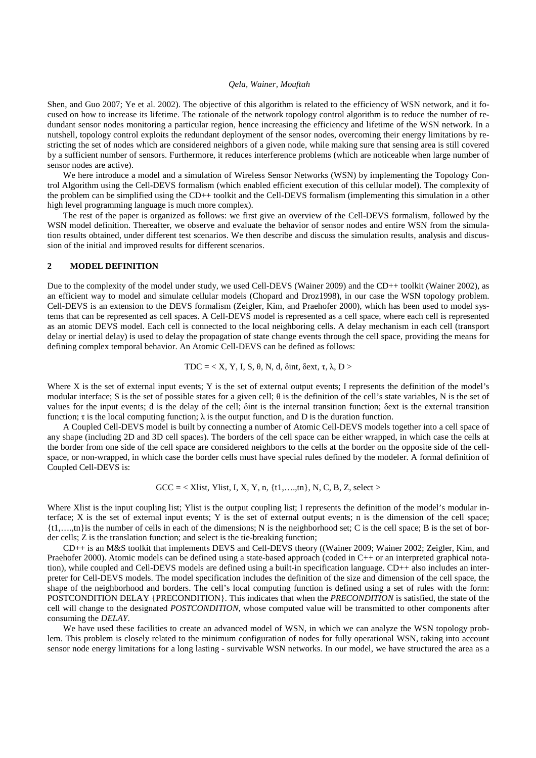Shen, and Guo 2007; Ye et al. 2002). The objective of this algorithm is related to the efficiency of WSN network, and it focused on how to increase its lifetime. The rationale of the network topology control algorithm is to reduce the number of redundant sensor nodes monitoring a particular region, hence increasing the efficiency and lifetime of the WSN network. In a nutshell, topology control exploits the redundant deployment of the sensor nodes, overcoming their energy limitations by restricting the set of nodes which are considered neighbors of a given node, while making sure that sensing area is still covered by a sufficient number of sensors. Furthermore, it reduces interference problems (which are noticeable when large number of sensor nodes are active).

 We here introduce a model and a simulation of Wireless Sensor Networks (WSN) by implementing the Topology Control Algorithm using the Cell-DEVS formalism (which enabled efficient execution of this cellular model). The complexity of the problem can be simplified using the CD++ toolkit and the Cell-DEVS formalism (implementing this simulation in a other high level programming language is much more complex).

 The rest of the paper is organized as follows: we first give an overview of the Cell-DEVS formalism, followed by the WSN model definition. Thereafter, we observe and evaluate the behavior of sensor nodes and entire WSN from the simulation results obtained, under different test scenarios. We then describe and discuss the simulation results, analysis and discussion of the initial and improved results for different scenarios.

#### **2 MODEL DEFINITION**

Due to the complexity of the model under study, we used Cell-DEVS (Wainer 2009) and the CD++ toolkit (Wainer 2002), as an efficient way to model and simulate cellular models (Chopard and Droz1998), in our case the WSN topology problem. Cell-DEVS is an extension to the DEVS formalism (Zeigler, Kim, and Praehofer 2000), which has been used to model systems that can be represented as cell spaces. A Cell-DEVS model is represented as a cell space, where each cell is represented as an atomic DEVS model. Each cell is connected to the local neighboring cells. A delay mechanism in each cell (transport delay or inertial delay) is used to delay the propagation of state change events through the cell space, providing the means for defining complex temporal behavior. An Atomic Cell-DEVS can be defined as follows:

$$
TDC = \langle X, Y, I, S, \theta, N, d, \delta \text{int, } \delta \text{ext, } \tau, \lambda, D \rangle
$$

Where X is the set of external input events; Y is the set of external output events; I represents the definition of the model's modular interface; S is the set of possible states for a given cell;  $\theta$  is the definition of the cell's state variables, N is the set of values for the input events; d is the delay of the cell; δint is the internal transition function; δext is the external transition function; τ is the local computing function; λ is the output function, and D is the duration function.

 A Coupled Cell-DEVS model is built by connecting a number of Atomic Cell-DEVS models together into a cell space of any shape (including 2D and 3D cell spaces). The borders of the cell space can be either wrapped, in which case the cells at the border from one side of the cell space are considered neighbors to the cells at the border on the opposite side of the cellspace, or non-wrapped, in which case the border cells must have special rules defined by the modeler. A formal definition of Coupled Cell-DEVS is:

 $GCC = \langle Xlist, Ylist, I, X, Y, n, \{t1, \ldots, tn\}, N, C, B, Z, select \rangle$ 

Where Xlist is the input coupling list; Ylist is the output coupling list; I represents the definition of the model's modular interface; X is the set of external input events; Y is the set of external output events; n is the dimension of the cell space; {t1,….,tn}is the number of cells in each of the dimensions; N is the neighborhood set; C is the cell space; B is the set of border cells; Z is the translation function; and select is the tie-breaking function;

CD++ is an M&S toolkit that implements DEVS and Cell-DEVS theory ((Wainer 2009; Wainer 2002; Zeigler, Kim, and Praehofer 2000). Atomic models can be defined using a state-based approach (coded in C++ or an interpreted graphical notation), while coupled and Cell-DEVS models are defined using a built-in specification language. CD++ also includes an interpreter for Cell-DEVS models. The model specification includes the definition of the size and dimension of the cell space, the shape of the neighborhood and borders. The cell's local computing function is defined using a set of rules with the form: POSTCONDITION DELAY {PRECONDITION}. This indicates that when the *PRECONDITION* is satisfied, the state of the cell will change to the designated *POSTCONDITION*, whose computed value will be transmitted to other components after consuming the *DELAY*.

We have used these facilities to create an advanced model of WSN, in which we can analyze the WSN topology problem. This problem is closely related to the minimum configuration of nodes for fully operational WSN, taking into account sensor node energy limitations for a long lasting - survivable WSN networks. In our model, we have structured the area as a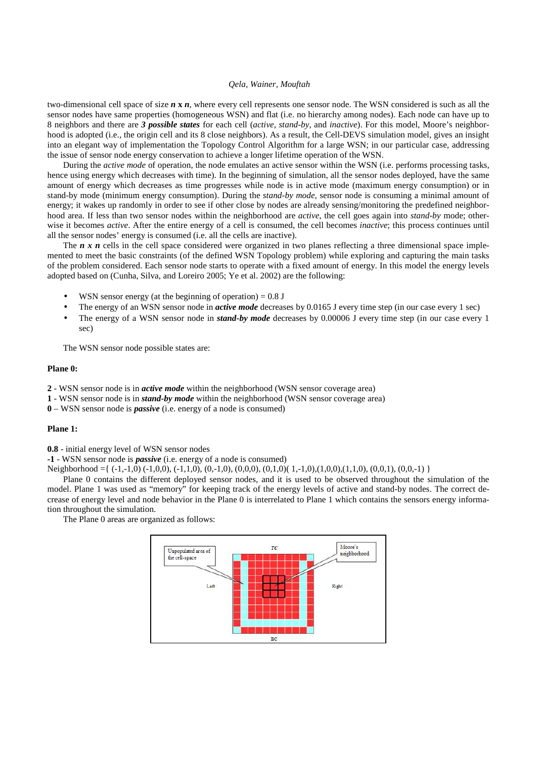two-dimensional cell space of size  $n \times n$ , where every cell represents one sensor node. The WSN considered is such as all the sensor nodes have same properties (homogeneous WSN) and flat (i.e. no hierarchy among nodes). Each node can have up to 8 neighbors and there are *3 possible states* for each cell (*active*, *stand-by,* and *inactive*). For this model, Moore's neighborhood is adopted (i.e., the origin cell and its 8 close neighbors). As a result, the Cell-DEVS simulation model, gives an insight into an elegant way of implementation the Topology Control Algorithm for a large WSN; in our particular case, addressing the issue of sensor node energy conservation to achieve a longer lifetime operation of the WSN.

During the *active mode* of operation, the node emulates an active sensor within the WSN (i.e. performs processing tasks, hence using energy which decreases with time). In the beginning of simulation, all the sensor nodes deployed, have the same amount of energy which decreases as time progresses while node is in active mode (maximum energy consumption) or in stand-by mode (minimum energy consumption). During the *stand-by mode*, sensor node is consuming a minimal amount of energy; it wakes up randomly in order to see if other close by nodes are already sensing/monitoring the predefined neighborhood area. If less than two sensor nodes within the neighborhood are *active*, the cell goes again into *stand-by* mode; otherwise it becomes *active*. After the entire energy of a cell is consumed, the cell becomes *inactive*; this process continues until all the sensor nodes' energy is consumed (i.e. all the cells are inactive).

The *n x n* cells in the cell space considered were organized in two planes reflecting a three dimensional space implemented to meet the basic constraints (of the defined WSN Topology problem) while exploring and capturing the main tasks of the problem considered. Each sensor node starts to operate with a fixed amount of energy. In this model the energy levels adopted based on (Cunha, Silva, and Loreiro 2005; Ye et al. 2002) are the following:

- WSN sensor energy (at the beginning of operation)  $= 0.8$  J
- The energy of an WSN sensor node in *active mode* decreases by 0.0165 J every time step (in our case every 1 sec)
- The energy of a WSN sensor node in *stand-by mode* decreases by 0.00006 J every time step (in our case every 1 sec)

The WSN sensor node possible states are:

#### **Plane 0:**

- **2** WSN sensor node is in *active mode* within the neighborhood (WSN sensor coverage area)
- **1** WSN sensor node is in *stand-by mode* within the neighborhood (WSN sensor coverage area)
- **0** WSN sensor node is *passive* (i.e. energy of a node is consumed)

#### **Plane 1:**

**0.8** - initial energy level of WSN sensor nodes

**-1** - WSN sensor node is *passive* (i.e. energy of a node is consumed)

Neighborhood = { (-1,-1,0) (-1,0,0), (-1,1,0), (0,-1,0), (0,0,0), (0,1,0)( 1,-1,0),(1,0,0),(1,1,0), (0,0,1), (0,0,-1) }

 Plane 0 contains the different deployed sensor nodes, and it is used to be observed throughout the simulation of the model. Plane 1 was used as "memory" for keeping track of the energy levels of active and stand-by nodes. The correct decrease of energy level and node behavior in the Plane 0 is interrelated to Plane 1 which contains the sensors energy information throughout the simulation.

The Plane 0 areas are organized as follows:

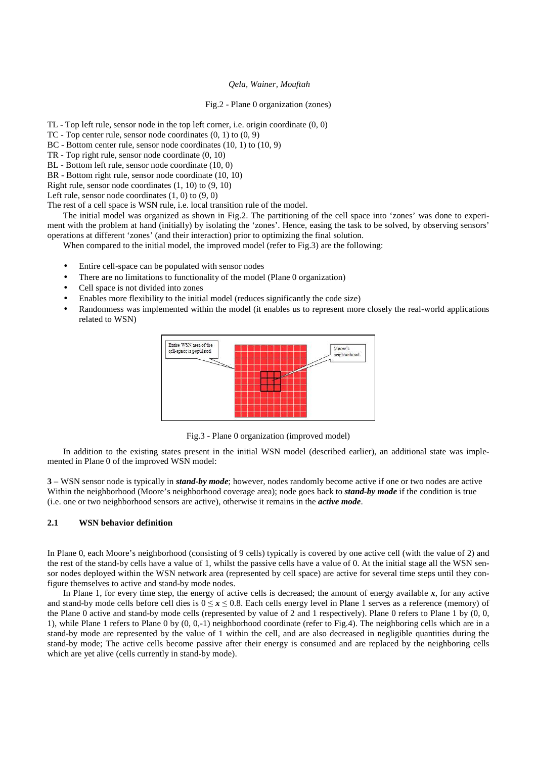# Fig.2 - Plane 0 organization (zones)

- TL Top left rule, sensor node in the top left corner, i.e. origin coordinate (0, 0)
- TC Top center rule, sensor node coordinates (0, 1) to (0, 9)
- BC Bottom center rule, sensor node coordinates (10, 1) to (10, 9)
- TR Top right rule, sensor node coordinate (0, 10)
- BL Bottom left rule, sensor node coordinate (10, 0)
- BR Bottom right rule, sensor node coordinate (10, 10)
- Right rule, sensor node coordinates (1, 10) to (9, 10)
- Left rule, sensor node coordinates (1, 0) to (9, 0)

The rest of a cell space is WSN rule, i.e. local transition rule of the model.

 The initial model was organized as shown in Fig.2. The partitioning of the cell space into 'zones' was done to experiment with the problem at hand (initially) by isolating the 'zones'. Hence, easing the task to be solved, by observing sensors' operations at different 'zones' (and their interaction) prior to optimizing the final solution.

When compared to the initial model, the improved model (refer to Fig.3) are the following:

- Entire cell-space can be populated with sensor nodes
- There are no limitations to functionality of the model (Plane 0 organization)
- Cell space is not divided into zones
- Enables more flexibility to the initial model (reduces significantly the code size)
- Randomness was implemented within the model (it enables us to represent more closely the real-world applications related to WSN)



Fig.3 - Plane 0 organization (improved model)

 In addition to the existing states present in the initial WSN model (described earlier), an additional state was implemented in Plane 0 of the improved WSN model:

**3** – WSN sensor node is typically in *stand-by mode*; however, nodes randomly become active if one or two nodes are active Within the neighborhood (Moore's neighborhood coverage area); node goes back to *stand-by mode* if the condition is true (i.e. one or two neighborhood sensors are active), otherwise it remains in the *active mode*.

### **2.1 WSN behavior definition**

In Plane 0, each Moore's neighborhood (consisting of 9 cells) typically is covered by one active cell (with the value of 2) and the rest of the stand-by cells have a value of 1, whilst the passive cells have a value of 0. At the initial stage all the WSN sensor nodes deployed within the WSN network area (represented by cell space) are active for several time steps until they configure themselves to active and stand-by mode nodes.

In Plane 1, for every time step, the energy of active cells is decreased; the amount of energy available  $x$ , for any active and stand-by mode cells before cell dies is  $0 \le x \le 0.8$ . Each cells energy level in Plane 1 serves as a reference (memory) of the Plane 0 active and stand-by mode cells (represented by value of 2 and 1 respectively). Plane 0 refers to Plane 1 by (0, 0, 1), while Plane 1 refers to Plane 0 by (0, 0,-1) neighborhood coordinate (refer to Fig.4). The neighboring cells which are in a stand-by mode are represented by the value of 1 within the cell, and are also decreased in negligible quantities during the stand-by mode; The active cells become passive after their energy is consumed and are replaced by the neighboring cells which are yet alive (cells currently in stand-by mode).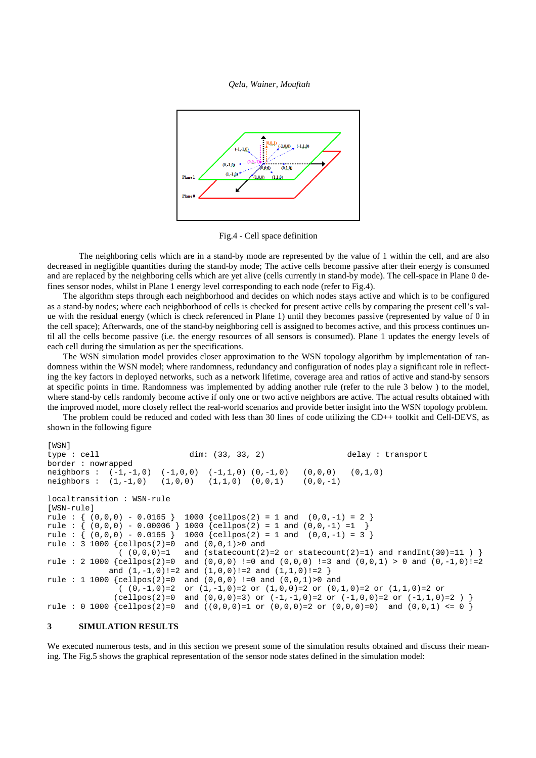*Qela, Wainer, Mouftah* 



Fig.4 - Cell space definition

 The neighboring cells which are in a stand-by mode are represented by the value of 1 within the cell, and are also decreased in negligible quantities during the stand-by mode; The active cells become passive after their energy is consumed and are replaced by the neighboring cells which are yet alive (cells currently in stand-by mode). The cell-space in Plane 0 defines sensor nodes, whilst in Plane 1 energy level corresponding to each node (refer to Fig.4).

 The algorithm steps through each neighborhood and decides on which nodes stays active and which is to be configured as a stand-by nodes; where each neighborhood of cells is checked for present active cells by comparing the present cell's value with the residual energy (which is check referenced in Plane 1) until they becomes passive (represented by value of 0 in the cell space); Afterwards, one of the stand-by neighboring cell is assigned to becomes active, and this process continues until all the cells become passive (i.e. the energy resources of all sensors is consumed). Plane 1 updates the energy levels of each cell during the simulation as per the specifications.

 The WSN simulation model provides closer approximation to the WSN topology algorithm by implementation of randomness within the WSN model; where randomness, redundancy and configuration of nodes play a significant role in reflecting the key factors in deployed networks, such as a network lifetime, coverage area and ratios of active and stand-by sensors at specific points in time. Randomness was implemented by adding another rule (refer to the rule 3 below ) to the model, where stand-by cells randomly become active if only one or two active neighbors are active. The actual results obtained with the improved model, more closely reflect the real-world scenarios and provide better insight into the WSN topology problem.

 The problem could be reduced and coded with less than 30 lines of code utilizing the CD++ toolkit and Cell-DEVS, as shown in the following figure

```
[WSN]
type : cell dim: (33, 33, 2) delay : transport
border : nowrapped 
neighbors: (-1,-1,0) (-1,0,0) (-1,1,0) (0,-1,0) (0,0,0) (0,1,0)neighbors : (1,-1,0) (1,0,0) (1,1,0) (0,0,1) (0,0,-1) 
localtransition : WSN-rule 
[WSN-rule] 
rule : { (0,0,0) - 0.0165 } 1000 {cellpos(2) = 1 and (0,0,-1) = 2 }<br>rule : { (0,0,0) - 0.00006 } 1000 {cellpos(2) = 1 and (0,0,-1) = 1 }
rule : { (0,0,0) - 0.00006 } 1000 {cellpos(2) = 1 and (0,0,-1) =1 } rule : { (0,0,0) - 0.0165 } 1000 {cellpos(2) = 1 and (0,0,-1) = 3rule : \{(0,0,0) - 0.0165\} 1000 \{cellpos(2) = 1 \text{ and } (0,0,-1) = 3\}rule : 3 1000 {cellpos(2)=0 and (0,0,1)>0 and 
(0,0,0)=1 and (\text{statecount}(2)=2 \text{ or statecount}(2)=1) and \text{randInt}(30)=11 ) }<br>rule : 2 1000 {cellpos(2)=0 and (0,0,0) !=0 and (0,0,0) !=3 and (0,0,1) > 0 and (0,-1,0)!=2
                                    and (0,0,0) !=0 and (0,0,0) !=3 and (0,0,1) > 0 and (0,-1,0)!=2
                and (1,-1,0)! = 2 and (1,0,0)! = 2 and (1,1,0)! = 2rule : 1 1000 {cellpos(2)=0 and (0,0,0) !=0 and (0,0,1)>0 and 
                   (0,-1,0)=2 or (1,-1,0)=2 or (1,0,0)=2 or (0,1,0)=2 or (1,1,0)=2 or
     (cellpos(2)=0 and (0,0,0)=3) or (-1,-1,0)=2 or (-1,0,0)=2 or (-1,1,0)=2)<br>: 0 1000 \{\text{cellpos}(2)=0 and ((0,0,0)=1 or (0,0,0)=2 or (0,0,0)=0) and (0,0,1) <= 0
rule : 0 1000 {cellpos(2)=0 and ((0,0,0)=1 or (0,0,0)=2 or (0,0,0)=0) and (0,0,1) <= 0 }
```
#### **3 SIMULATION RESULTS**

We executed numerous tests, and in this section we present some of the simulation results obtained and discuss their meaning. The Fig.5 shows the graphical representation of the sensor node states defined in the simulation model: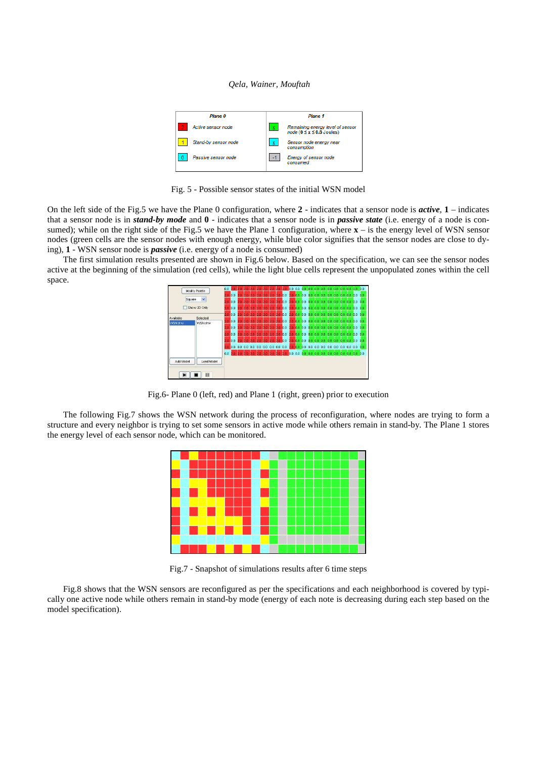

Fig. 5 - Possible sensor states of the initial WSN model

On the left side of the Fig.5 we have the Plane 0 configuration, where **2** - indicates that a sensor node is *active*, **1** – indicates that a sensor node is in *stand-by mode* and **0** - indicates that a sensor node is in *passive state* (i.e. energy of a node is consumed); while on the right side of the Fig.5 we have the Plane 1 configuration, where  $\mathbf{x}$  – is the energy level of WSN sensor nodes (green cells are the sensor nodes with enough energy, while blue color signifies that the sensor nodes are close to dying), **1** - WSN sensor node is *passive* (i.e. energy of a node is consumed)

 The first simulation results presented are shown in Fig.6 below. Based on the specification, we can see the sensor nodes active at the beginning of the simulation (red cells), while the light blue cells represent the unpopulated zones within the cell space.



Fig.6- Plane 0 (left, red) and Plane 1 (right, green) prior to execution

 The following Fig.7 shows the WSN network during the process of reconfiguration, where nodes are trying to form a structure and every neighbor is trying to set some sensors in active mode while others remain in stand-by. The Plane 1 stores the energy level of each sensor node, which can be monitored.



Fig.7 - Snapshot of simulations results after 6 time steps

 Fig.8 shows that the WSN sensors are reconfigured as per the specifications and each neighborhood is covered by typically one active node while others remain in stand-by mode (energy of each note is decreasing during each step based on the model specification).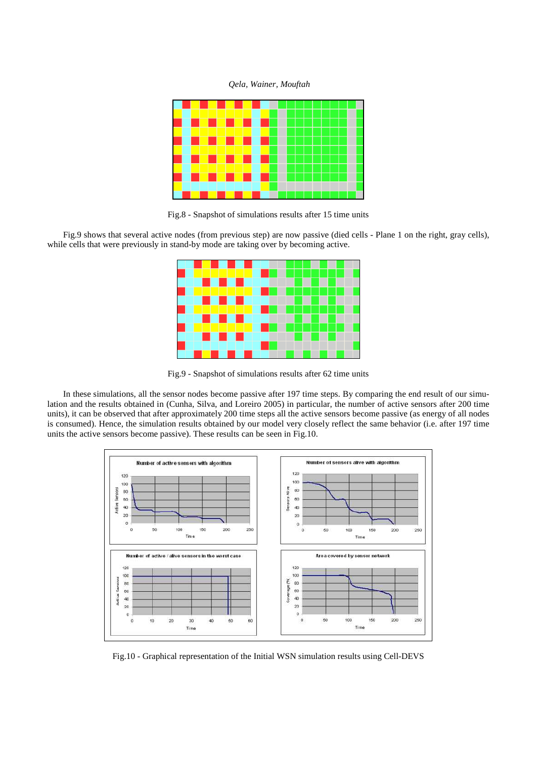



Fig.8 - Snapshot of simulations results after 15 time units

 Fig.9 shows that several active nodes (from previous step) are now passive (died cells - Plane 1 on the right, gray cells), while cells that were previously in stand-by mode are taking over by becoming active.



Fig.9 - Snapshot of simulations results after 62 time units

 In these simulations, all the sensor nodes become passive after 197 time steps. By comparing the end result of our simulation and the results obtained in (Cunha, Silva, and Loreiro 2005) in particular, the number of active sensors after 200 time units), it can be observed that after approximately 200 time steps all the active sensors become passive (as energy of all nodes is consumed). Hence, the simulation results obtained by our model very closely reflect the same behavior (i.e. after 197 time units the active sensors become passive). These results can be seen in Fig.10.



Fig.10 - Graphical representation of the Initial WSN simulation results using Cell-DEVS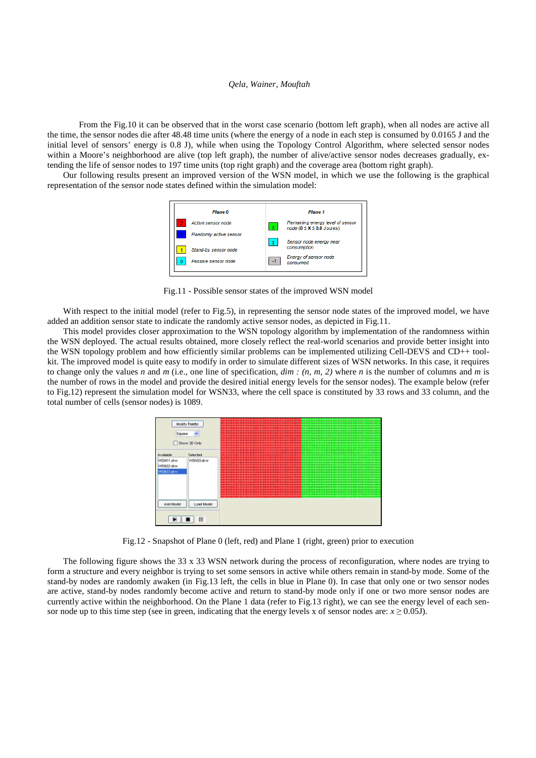From the Fig.10 it can be observed that in the worst case scenario (bottom left graph), when all nodes are active all the time, the sensor nodes die after 48.48 time units (where the energy of a node in each step is consumed by 0.0165 J and the initial level of sensors' energy is 0.8 J), while when using the Topology Control Algorithm, where selected sensor nodes within a Moore's neighborhood are alive (top left graph), the number of alive/active sensor nodes decreases gradually, extending the life of sensor nodes to 197 time units (top right graph) and the coverage area (bottom right graph).

 Our following results present an improved version of the WSN model, in which we use the following is the graphical representation of the sensor node states defined within the simulation model:



Fig.11 - Possible sensor states of the improved WSN model

With respect to the initial model (refer to Fig.5), in representing the sensor node states of the improved model, we have added an addition sensor state to indicate the randomly active sensor nodes, as depicted in Fig.11.

 This model provides closer approximation to the WSN topology algorithm by implementation of the randomness within the WSN deployed. The actual results obtained, more closely reflect the real-world scenarios and provide better insight into the WSN topology problem and how efficiently similar problems can be implemented utilizing Cell-DEVS and CD++ toolkit. The improved model is quite easy to modify in order to simulate different sizes of WSN networks. In this case, it requires to change only the values *n* and *m* (i.e., one line of specification, *dim : (n, m, 2)* where *n* is the number of columns and *m* is the number of rows in the model and provide the desired initial energy levels for the sensor nodes). The example below (refer to Fig.12) represent the simulation model for WSN33, where the cell space is constituted by 33 rows and 33 column, and the total number of cells (sensor nodes) is 1089.



Fig.12 - Snapshot of Plane 0 (left, red) and Plane 1 (right, green) prior to execution

 The following figure shows the 33 x 33 WSN network during the process of reconfiguration, where nodes are trying to form a structure and every neighbor is trying to set some sensors in active while others remain in stand-by mode. Some of the stand-by nodes are randomly awaken (in Fig.13 left, the cells in blue in Plane 0). In case that only one or two sensor nodes are active, stand-by nodes randomly become active and return to stand-by mode only if one or two more sensor nodes are currently active within the neighborhood. On the Plane 1 data (refer to Fig.13 right), we can see the energy level of each sensor node up to this time step (see in green, indicating that the energy levels x of sensor nodes are:  $x > 0.05J$ ).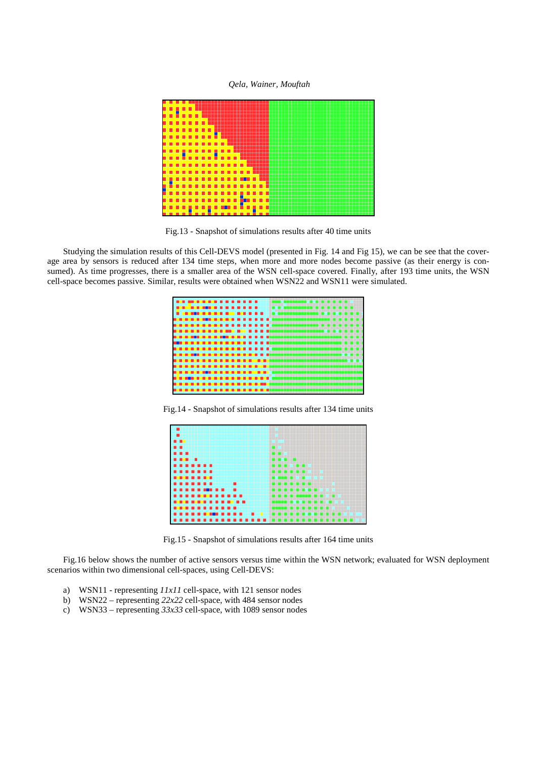



Fig.13 - Snapshot of simulations results after 40 time units

 Studying the simulation results of this Cell-DEVS model (presented in Fig. 14 and Fig 15), we can be see that the coverage area by sensors is reduced after 134 time steps, when more and more nodes become passive (as their energy is consumed). As time progresses, there is a smaller area of the WSN cell-space covered. Finally, after 193 time units, the WSN cell-space becomes passive. Similar, results were obtained when WSN22 and WSN11 were simulated.

| .<br>.<br>.                  |   |
|------------------------------|---|
| .<br>.                       | . |
| -----------------------<br>. |   |
| .<br>.                       |   |
| .<br>.                       |   |

Fig.14 - Snapshot of simulations results after 134 time units



Fig.15 - Snapshot of simulations results after 164 time units

 Fig.16 below shows the number of active sensors versus time within the WSN network; evaluated for WSN deployment scenarios within two dimensional cell-spaces, using Cell-DEVS:

- a) WSN11 representing *11x11* cell-space, with 121 sensor nodes
- b) WSN22 representing *22x22* cell-space, with 484 sensor nodes
- c) WSN33 representing *33x33* cell-space, with 1089 sensor nodes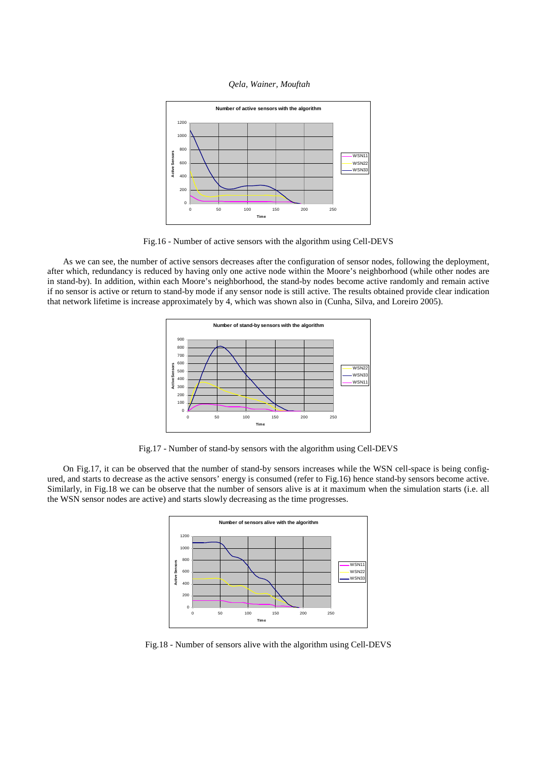*Qela, Wainer, Mouftah* 



Fig.16 - Number of active sensors with the algorithm using Cell-DEVS

 As we can see, the number of active sensors decreases after the configuration of sensor nodes, following the deployment, after which, redundancy is reduced by having only one active node within the Moore's neighborhood (while other nodes are in stand-by). In addition, within each Moore's neighborhood, the stand-by nodes become active randomly and remain active if no sensor is active or return to stand-by mode if any sensor node is still active. The results obtained provide clear indication that network lifetime is increase approximately by 4, which was shown also in (Cunha, Silva, and Loreiro 2005).



Fig.17 - Number of stand-by sensors with the algorithm using Cell-DEVS

 On Fig.17, it can be observed that the number of stand-by sensors increases while the WSN cell-space is being configured, and starts to decrease as the active sensors' energy is consumed (refer to Fig.16) hence stand-by sensors become active. Similarly, in Fig.18 we can be observe that the number of sensors alive is at it maximum when the simulation starts (i.e. all the WSN sensor nodes are active) and starts slowly decreasing as the time progresses.



Fig.18 - Number of sensors alive with the algorithm using Cell-DEVS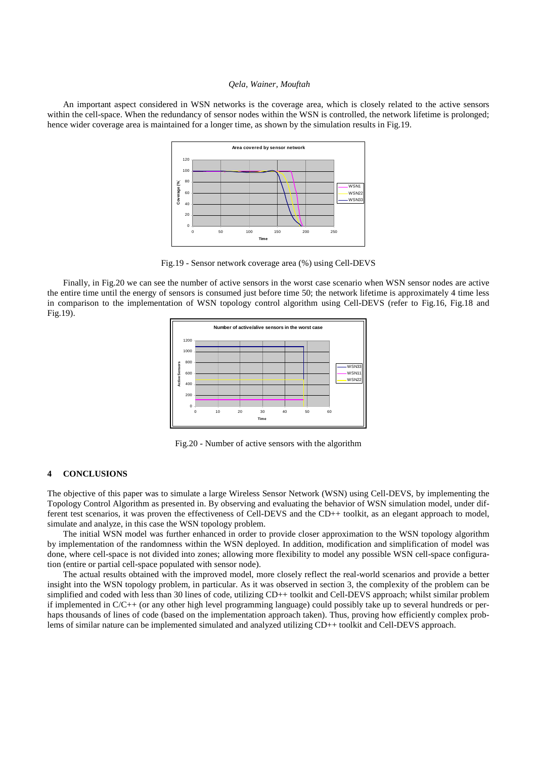An important aspect considered in WSN networks is the coverage area, which is closely related to the active sensors within the cell-space. When the redundancy of sensor nodes within the WSN is controlled, the network lifetime is prolonged; hence wider coverage area is maintained for a longer time, as shown by the simulation results in Fig.19.



Fig.19 - Sensor network coverage area (%) using Cell-DEVS

 Finally, in Fig.20 we can see the number of active sensors in the worst case scenario when WSN sensor nodes are active the entire time until the energy of sensors is consumed just before time 50; the network lifetime is approximately 4 time less in comparison to the implementation of WSN topology control algorithm using Cell-DEVS (refer to Fig.16, Fig.18 and Fig.19).



Fig.20 - Number of active sensors with the algorithm

### **4 CONCLUSIONS**

The objective of this paper was to simulate a large Wireless Sensor Network (WSN) using Cell-DEVS, by implementing the Topology Control Algorithm as presented in. By observing and evaluating the behavior of WSN simulation model, under different test scenarios, it was proven the effectiveness of Cell-DEVS and the CD++ toolkit, as an elegant approach to model, simulate and analyze, in this case the WSN topology problem.

 The initial WSN model was further enhanced in order to provide closer approximation to the WSN topology algorithm by implementation of the randomness within the WSN deployed. In addition, modification and simplification of model was done, where cell-space is not divided into zones; allowing more flexibility to model any possible WSN cell-space configuration (entire or partial cell-space populated with sensor node).

 The actual results obtained with the improved model, more closely reflect the real-world scenarios and provide a better insight into the WSN topology problem, in particular. As it was observed in section 3, the complexity of the problem can be simplified and coded with less than 30 lines of code, utilizing CD++ toolkit and Cell-DEVS approach; whilst similar problem if implemented in C/C++ (or any other high level programming language) could possibly take up to several hundreds or perhaps thousands of lines of code (based on the implementation approach taken). Thus, proving how efficiently complex problems of similar nature can be implemented simulated and analyzed utilizing CD++ toolkit and Cell-DEVS approach.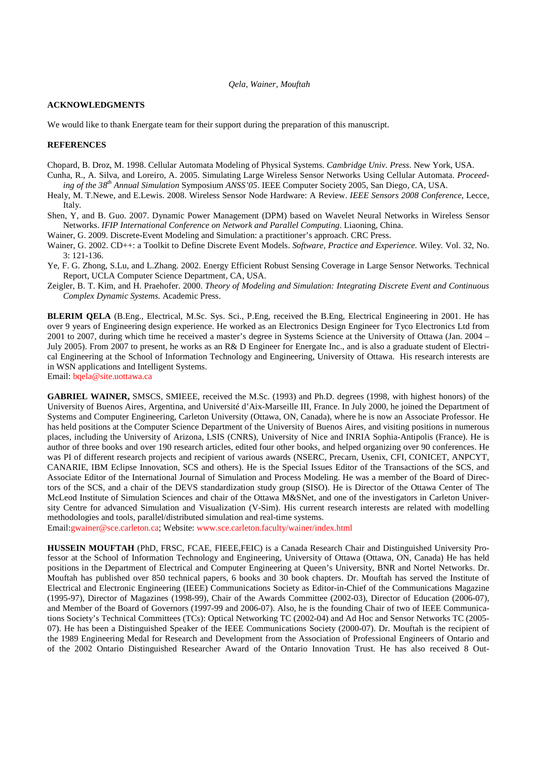## **ACKNOWLEDGMENTS**

We would like to thank Energate team for their support during the preparation of this manuscript.

# **REFERENCES**

Chopard, B. Droz, M. 1998. Cellular Automata Modeling of Physical Systems. *Cambridge Univ. Press.* New York, USA.

Cunha, R., A. Silva, and Loreiro, A. 2005. Simulating Large Wireless Sensor Networks Using Cellular Automata. *Proceeding of the 38th Annual Simulation* Symposium *ANSS'05*. IEEE Computer Society 2005, San Diego, CA, USA.

- Healy, M. T.Newe, and E.Lewis. 2008. Wireless Sensor Node Hardware: A Review. *IEEE Sensors 2008 Conference*, Lecce, Italy.
- Shen, Y, and B. Guo. 2007. Dynamic Power Management (DPM) based on Wavelet Neural Networks in Wireless Sensor Networks. *IFIP International Conference on Network and Parallel Computing*. Liaoning, China.

Wainer, G. 2009. Discrete-Event Modeling and Simulation: a practitioner's approach. CRC Press.

Wainer, G. 2002. CD++: a Toolkit to Define Discrete Event Models. *Software, Practice and Experience.* Wiley*.* Vol. 32, No.  $3:121-136$ 

- Ye, F. G. Zhong, S.Lu, and L.Zhang. 2002. Energy Efficient Robust Sensing Coverage in Large Sensor Networks*.* Technical Report, UCLA Computer Science Department, CA, USA.
- Zeigler, B. T. Kim, and H. Praehofer. 2000. *Theory of Modeling and Simulation: Integrating Discrete Event and Continuous Complex Dynamic Systems.* Academic Press.

**BLERIM QELA** (B.Eng., Electrical, M.Sc. Sys. Sci., P.Eng, received the B.Eng, Electrical Engineering in 2001. He has over 9 years of Engineering design experience. He worked as an Electronics Design Engineer for Tyco Electronics Ltd from 2001 to 2007, during which time he received a master's degree in Systems Science at the University of Ottawa (Jan. 2004 – July 2005). From 2007 to present, he works as an R& D Engineer for Energate Inc., and is also a graduate student of Electrical Engineering at the School of Information Technology and Engineering, University of Ottawa. His research interests are in WSN applications and Intelligent Systems.

Email: bqela@site.uottawa.ca

**GABRIEL WAINER,** SMSCS, SMIEEE, received the M.Sc. (1993) and Ph.D. degrees (1998, with highest honors) of the University of Buenos Aires, Argentina, and Université d'Aix-Marseille III, France. In July 2000, he joined the Department of Systems and Computer Engineering, Carleton University (Ottawa, ON, Canada), where he is now an Associate Professor. He has held positions at the Computer Science Department of the University of Buenos Aires, and visiting positions in numerous places, including the University of Arizona, LSIS (CNRS), University of Nice and INRIA Sophia-Antipolis (France). He is author of three books and over 190 research articles, edited four other books, and helped organizing over 90 conferences. He was PI of different research projects and recipient of various awards (NSERC, Precarn, Usenix, CFI, CONICET, ANPCYT, CANARIE, IBM Eclipse Innovation, SCS and others). He is the Special Issues Editor of the Transactions of the SCS, and Associate Editor of the International Journal of Simulation and Process Modeling. He was a member of the Board of Directors of the SCS, and a chair of the DEVS standardization study group (SISO). He is Director of the Ottawa Center of The McLeod Institute of Simulation Sciences and chair of the Ottawa M&SNet, and one of the investigators in Carleton University Centre for advanced Simulation and Visualization (V-Sim). His current research interests are related with modelling methodologies and tools, parallel/distributed simulation and real-time systems.

Email:gwainer@sce.carleton.ca; Website: www.sce.carleton.faculty/wainer/index.html

**HUSSEIN MOUFTAH** (PhD, FRSC, FCAE, FIEEE,FEIC) is a Canada Research Chair and Distinguished University Professor at the School of Information Technology and Engineering, University of Ottawa (Ottawa, ON, Canada) He has held positions in the Department of Electrical and Computer Engineering at Queen's University, BNR and Nortel Networks. Dr. Mouftah has published over 850 technical papers, 6 books and 30 book chapters. Dr. Mouftah has served the Institute of Electrical and Electronic Engineering (IEEE) Communications Society as Editor-in-Chief of the Communications Magazine (1995-97), Director of Magazines (1998-99), Chair of the Awards Committee (2002-03), Director of Education (2006-07), and Member of the Board of Governors (1997-99 and 2006-07). Also, he is the founding Chair of two of IEEE Communications Society's Technical Committees (TCs): Optical Networking TC (2002-04) and Ad Hoc and Sensor Networks TC (2005- 07). He has been a Distinguished Speaker of the IEEE Communications Society (2000-07). Dr. Mouftah is the recipient of the 1989 Engineering Medal for Research and Development from the Association of Professional Engineers of Ontario and of the 2002 Ontario Distinguished Researcher Award of the Ontario Innovation Trust. He has also received 8 Out-